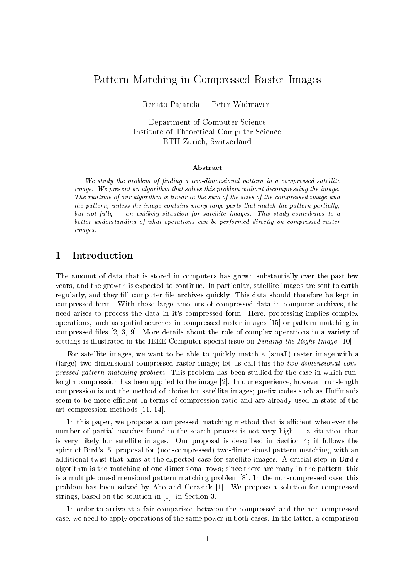# Pattern Matching in Compressed Raster Images

Renato Pajarola Peter Widmayer

Department of Computer Science Institute of Theoretical Computer Science ETH Zurich, Switzerland

#### Abstract

we study the problem of finally a two-dimensional pattern in a compressed satellite image. We present an algorithm that solves this problem without decompressing the image. The runtime of our algorithm is linear in the sum of the sizes of the compressed image andthe pattern, unless the image contains many large parts that match the pattern partially, but not fully  $\equiv$  an unit ety situation for sutentle images. This study contributes to a better understanding of what operations can be performed directly on compressed raster images.

#### $\mathbf{1}$ **Introduction**

The amount of data that is stored in computers has grown substantially over the past few years, and the growth is expected to continue. In particular, satellite images are sent to earth regularly, and they fill computer file archives quickly. This data should therefore be kept in compressed form. With these large amounts of compressed data in computer archives, the need arises to process the data in it's compressed form. Here, processing implies complex operations, such as spatial searches in compressed raster images [15] or pattern matching in compressed files [2, 3, 9]. More details about the role of complex operations in a variety of settings is illustrated in the IEEE Computer special issue on Finding the Right Image [10].

For satellite images, we want to be able to quickly match a (small) raster image with a (large) two-dimensional compressed raster image; let us call this the two-dimensional compressed pattern matching problem. This problem has been studied for the case in which runlength compression has been applied to the image [2]. In our experience, however, run-length compression is not the method of choice for satellite images; prefix codes such as Huffman's seem to be more efficient in terms of compression ratio and are already used in state of the art compression methods [11, 14].

In this paper, we propose a compressed matching method that is efficient whenever the number of partial matches found in the search process is not very high  $-$  a situation that is very likely for satellite images. Our proposal is described in Section 4; it follows the spirit of Bird's [5] proposal for (non-compressed) two-dimensional pattern matching, with an additional twist that aims at the expected case for satellite images. A crucial step in Bird's algorithm is the matching of one-dimensional rows; since there are many in the pattern, this is a multiple one-dimensional pattern matching problem [8]. In the non-compressed case, this problem has been solved by Aho and Corasick [1]. We propose a solution for compressed strings, based on the solution in [1], in Section 3.

In order to arrive at a fair comparison between the compressed and the non-compressed case, we need to apply operations of the same power in both cases. In the latter, a comparison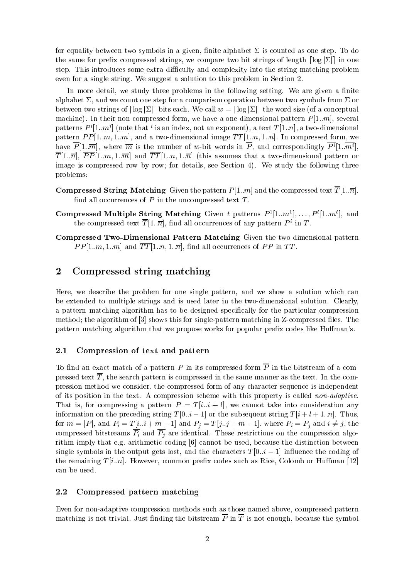for equality between two symbols in a given, finite alphabet  $\Sigma$  is counted as one step. To do the same for prefix compressed strings, we compare two bit strings of length  $\lceil \log |\Sigma| \rceil$  in one step. This introduces some extra difficulty and complexity into the string matching problem even for a single string. We suggest a solution to this problem in Section 2.

In more detail, we study three problems in the following setting. We are given a finite alphabet  $\Sigma$ , and we count one step for a comparison operation between two symbols from  $\Sigma$  or between two strings of  $\lceil \log |\Sigma| \rceil$  bits each. We call  $w = \lceil \log |\Sigma| \rceil$  the word size (of a conceptual machine). In their non-compressed form, we have a one-dimensional pattern  $P[1..m]$ , several patterns  $P^{i}[1..m^{i}]$  (note that <sup>i</sup> is an index, not an exponent), a text  $T[1..n]$ , a two-dimensional pattern  $PP[1..m,1..m]$ , and a two-dimensional image  $TT[1..n,1..n]$ . In compressed form, we have  $\overline{P}[1..\overline{m}]$ , where  $\overline{m}$  is the number of w-bit words in  $\overline{P}$ , and correspondingly  $\overline{P^i}[1..\overline{m^i}]$ ,  $\overline{T}[1..\overline{n}]$ ,  $\overline{PP}[1..m,1..\overline{m}]$  and  $\overline{TT}[1..n,1..\overline{n}]$  (this assumes that a two-dimensional pattern or image is compressed row by row; for details, see Section 4). We study the following three problems:

- **Compressed String Matching** Given the pattern  $P[1..m]$  and the compressed text  $\overline{T}[1..n]$ . find all occurrences of  $P$  in the uncompressed text  $T$ .
- Compressed Multiple String Matching Given t patterns  $P^*[1..m^*], \ldots, P^*[1..m^*],$  and the compressed text  $\overline{T}[1..\overline{n}]$ , find all occurrences of any pattern  $P^i$  in T.
- Compressed Two-Dimensional Pattern Matching Given the two-dimensional pattern  $PP[1..m,1..m]$  and  $\overline{TT}[1..n,1..\overline{n}]$ , find all occurrences of PP in TT.

## 2 Compressed string matching

Here, we describe the problem for one single pattern, and we show a solution which can be extended to multiple strings and is used later in the two-dimensional solution. Clearly, a pattern matching algorithm has to be designed specifically for the particular compression method; the algorithm of  $[3]$  shows this for single-pattern matching in Z-compressed files. The pattern matching algorithm that we propose works for popular prefix codes like Huffman's.

## 2.1 Compression of text and pattern

To find an exact match of a pattern P in its compressed form  $\overline{P}$  in the bitstream of a compressed text  $\overline{T}$ , the search pattern is compressed in the same manner as the text. In the compression method we consider, the compressed form of any character sequence is independent of its position in the text. A compression scheme with this property is called non-adaptive. That is, for compressing a pattern  $P = T[i..i + l]$ , we cannot take into consideration any information on the preceding string T [0::i 1] or the subsequent string <sup>T</sup> [i <sup>+</sup> <sup>l</sup> + 1::n]. Thus, for  $m = |P|$ , and  $P_i = T[i..i + m - 1]$  and  $P_j = T[j..j + m - 1]$ , where  $P_i = P_j$  and  $i \neq j$ , the compressed bitstreams  $\overline{P_i}$  and  $\overline{P_j}$  are identical. These restrictions on the compression algorithm imply that e.g. arithmetic coding [6] cannot be used, because the distinction between single symbols in the output gets lost, and the characters  $T[0..i-1]$  influence the coding of the remaining  $T[i..n]$ . However, common prefix codes such as Rice, Colomb or Huffman [12] can be used.

## 2.2 Compressed pattern matching

Even for non-adaptive compression methods such as those named above, compressed pattern matching is not trivial. Just finding the bitstream  $\overline{P}$  in  $\overline{T}$  is not enough, because the symbol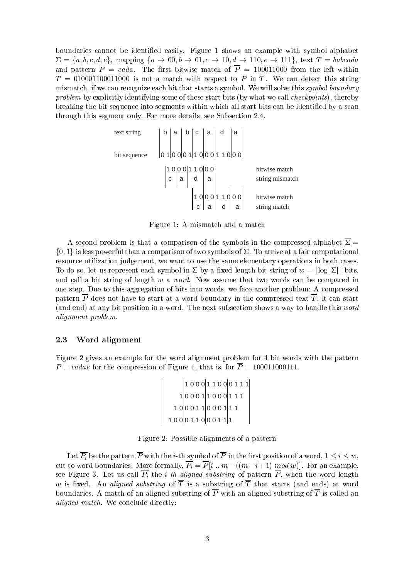boundaries cannot be identied easily. Figure 1 shows an example with symbol alphabet  $\Sigma = \{a, b, c, d, e\}$ , mapping  $\{a \rightarrow 00, b \rightarrow 01, c \rightarrow 10, d \rightarrow 110, e \rightarrow 111\}$ , text  $T = babcada$ and pattern  $P = cada$ . The first bitwise match of  $\overline{P} = 100011000$  from the left within  $\overline{T} = 010001100011000$  is not a match with respect to P in T. We can detect this string mismatch, if we can recognize each bit that starts a symbol. We will solve this *symbol boundary* problem by explicitly identifying some of these start bits (by what we call *checkpoints*), thereby breaking the bit sequence into segments within which all start bits can be identified by a scan through this segment only. For more details, see Subsection 2.4.



Figure 1: A mismatch and a match

A second problem is that a comparison of the symbols in the compressed alphabet  $\overline{\Sigma}$  =  $\{0, 1\}$  is less powerful than a comparison of two symbols of  $\Sigma$ . To arrive at a fair computational resource utilization judgement, we want to use the same elementary operations in both cases.  $\mathcal{I}$  is represent to a so, let us represent bits, where  $\mathcal{I}$  by a symbol in  $\mathcal{I}$  bits,  $\mathcal{I}$ and call a bit string of length w a word. Now assume that two words can be compared in one step. Due to this aggregation of bits into words, we face another problem: A compressed pattern  $\overline{P}$  does not have to start at a word boundary in the compressed text  $\overline{T}$ ; it can start (and end) at any bit position in a word. The next subsection shows a way to handle this word alignment problem.

### 2.3 Word alignment

Figure 2 gives an example for the word alignment problem for 4 bit words with the pattern  $P = cadae$  for the compression of Figure 1, that is, for  $\overline{P} = 100011000111$ .

```
1 0 0 0 1 1 0 0 0 1 1 1
1 0 0 0 1 1 0 0 0 1 1 1
  1 0 0 0 1 1 0 0 0 1 1 1
    1 0 0 0 1 1 0 0 0 1 1 1
```

|  | Figure 2: Possible alignments of a pattern |  |  |
|--|--------------------------------------------|--|--|
|  |                                            |  |  |

Let Pi be the pattern <sup>P</sup> with the i-th symbol of <sup>P</sup> in the rst position of a word, 1 <sup>i</sup> w, cut to word boundaries. More formally,  $\overline{P_i} = \overline{P}[i : m-(m-i+1) \mod w]$ . For an example, see Figure 3. Let us call  $\overline{P_i}$  the *i-th aligned substring* of pattern  $\overline{P}$ , when the word length w is fixed. An *aligned substring* of  $\overline{T}$  is a substring of  $\overline{T}$  that starts (and ends) at word boundaries. A match of an aligned substring of  $\overline{P}$  with an aligned substring of  $\overline{T}$  is called an aligned match. We conclude directly: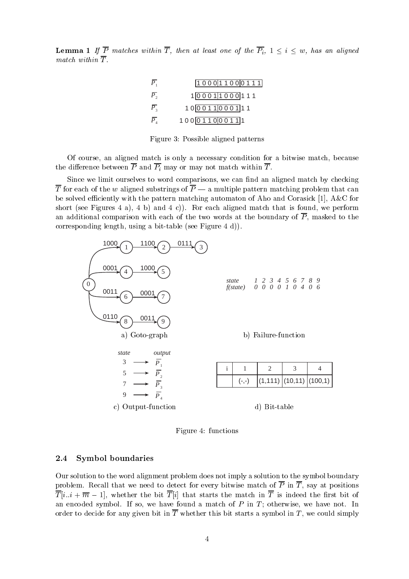Lemma 1 If P matches within T , then at least one of the Pi, 1 <sup>i</sup> w, has an aligned match within  $\overline{T}$ .

| $P_{1}$            | 1000110000111 |
|--------------------|---------------|
| $\overline{P}_{2}$ | 100011000111  |
| $\overline{P}_{3}$ | 100011000111  |
| $\overline{P}_4$   | 100011000111  |

Figure 3: Possible aligned patterns

Of course, an aligned match is only a necessary condition for a bitwise match, because the difference between  $\overline{P}$  and  $\overline{P_i}$  may or may not match within  $\overline{T}$ .

Since we limit ourselves to word comparisons, we can find an aligned match by checking  $\overline{T}$  for each of the w aligned substrings of  $\overline{P}$  – a multiple pattern matching problem that can be solved efficiently with the pattern matching automaton of Aho and Corasick [1],  $A & C$  for short (see Figures 4 a), 4 b) and 4 c)). For each aligned match that is found, we perform an additional comparison with each of the two words at the boundary of  $\overline{P}$ , masked to the corresponding length, using a bit-table (see Figure 4 d)).



Figure 4: functions

#### 2.4 Symbol boundaries

Our solution to the word alignment problem does not imply a solution to the symbol boundary problem. Recall that we need to detect for every bitwise match of  $\overline{P}$  in  $\overline{T}$ , say at positions T [i::i + m 1], whether the bit <sup>T</sup> [i] that starts the match in <sup>T</sup> is indeed the rst bit of an encoded symbol. If so, we have found a match of  $P$  in  $T$ ; otherwise, we have not. In order to decide for any given bit in  $\overline{T}$  whether this bit starts a symbol in T, we could simply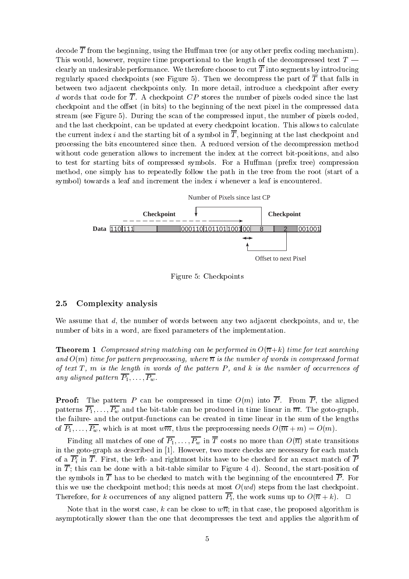decode  $\overline{T}$  from the beginning, using the Huffman tree (or any other prefix coding mechanism). This would, however, require time proportional to the length of the decompressed text  $T$ . clearly an undesirable performance. We therefore choose to cut  $\overline{T}$  into segments by introducing regularly spaced checkpoints (see Figure 5). Then we decompress the part of  $\overline{T}$  that falls in between two adjacent checkpoints only. In more detail, introduce a checkpoint after every d words that code for  $\overline{T}$ . A checkpoint CP stores the number of pixels coded since the last checkpoint and the offset (in bits) to the beginning of the next pixel in the compressed data stream (see Figure 5). During the scan of the compressed input, the number of pixels coded, and the last checkpoint, can be updated at every checkpoint location. This allows to calculate the current index i and the starting bit of a symbol in  $\overline{T}$ , beginning at the last checkpoint and processing the bits encountered since then. A reduced version of the decompression method without code generation allows to increment the index at the correct bit-positions, and also to test for starting bits of compressed symbols. For a Huffman (prefix tree) compression method, one simply has to repeatedly follow the path in the tree from the root (start of a symbol) towards a leaf and increment the index i whenever a leaf is encountered.



Figure 5: Checkpoints

#### 2.5 Complexity analysis

We assume that d, the number of words between any two adjacent checkpoints, and  $w$ , the number of bits in a word, are fixed parameters of the implementation.

**Theorem 1** Compressed string matching can be performed in  $O(\overline{n}+k)$  time for text searching and  $O(m)$  time for pattern preprocessing, where  $\overline{n}$  is the number of words in compressed format of text  $T$ ,  $m$  is the length in words of the pattern  $P$ , and  $k$  is the number of occurrences of any aligned pattern  $\overline{P_1},\ldots,\overline{P_w}$ .

**Proof:** The pattern P can be compressed in time  $O(m)$  into  $\overline{P}$ . From  $\overline{P}$ , the aligned patterns  $\overline{P_1},\ldots,\overline{P_w}$  and the bit-table can be produced in time linear in  $\overline{m}$ . The goto-graph, the failure- and the output-functions can be created in time linear in the sum of the lengths of  $\overline{P_1},\ldots,\overline{P_w}$ , which is at most  $w\overline{m}$ , thus the preprocessing needs  $O(\overline{m} + m) = O(m)$ .

Finding all matches of one of  $\overline{P_1},\ldots,\overline{P_w}$  in  $\overline{T}$  costs no more than  $O(\overline{n})$  state transitions in the goto-graph as described in [1]. However, two more checks are necessary for each match of a  $\overline{P_i}$  in  $\overline{T}$ . First, the left- and rightmost bits have to be checked for an exact match of  $\overline{P}$ in  $\overline{T}$ ; this can be done with a bit-table similar to Figure 4 d). Second, the start-position of the symbols in  $\overline{T}$  has to be checked to match with the beginning of the encountered  $\overline{P}$ . For this we use the checkpoint method; this needs at most  $O(wd)$  steps from the last checkpoint. Therefore, for k occurrences of any aligned pattern  $\overline{P_i}$ , the work sums up to  $O(\overline{n} + k)$ .

Note that in the worst case, k can be close to  $\overline{w}$ ; in that case, the proposed algorithm is asymptotically slower than the one that decompresses the text and applies the algorithm of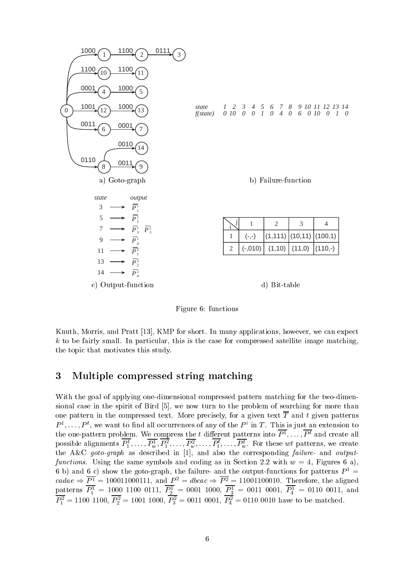

Figure 6: functions

Knuth, Morris, and Pratt [13], KMP for short. In many applications, however, we can expect  $k$  to be fairly small. In particular, this is the case for compressed satellite image matching, the topic that motivates this study.

## 3 Multiple compressed string matching

With the goal of applying one-dimensional compressed pattern matching for the two-dimensional case in the spirit of Bird [5], we now turn to the problem of searching for more than one pattern in the compressed text. More precisely, for a given text  $\overline{T}$  and t given patterns  $P^-,\ldots,P^+$ , we want to find all occurrences of any of the  $P^+$  in  $I$  . This is just an extension to the one-pattern problem. We compress the t different patterns into  $P^1, \ldots, P^r$  and create all possible anguments  $P_1^*,\ldots,P_{w}^*,P_1^*,\ldots,P_{w}^*,\ldots,P_1^*,\ldots,P_{w}^*,$  for these wt patterns, we create the A&C goto-graph as described in [1], and also the corresponding failure- and outputfunctions. Using the same symbols and coding as in Section 2.2 with  $w = 4$ , Figures 6 a), 6 b) and 6 c) show the goto-graph, the failure- and the output-functions for patterns  $P^1$  =  $\textit{caase} \Rightarrow P^2 = 100011000111$ , and  $P^2 = \textit{aocac} \Rightarrow P^2 = 11001100010$ . Therefore, the aligned patterns  $P_1^* = 1000$  1100 0111,  $P_2^* = 0001$  1000,  $P_3^* = 0011$  0001,  $P_4^* = 0110$  0011, and  $P_1^{\dagger} = 1100$  1100,  $P_2^{\dagger} = 1001$  1000,  $P_3^{\dagger} = 0011$  0001,  $P_4^{\dagger} = 0110$  0010 have to be matched.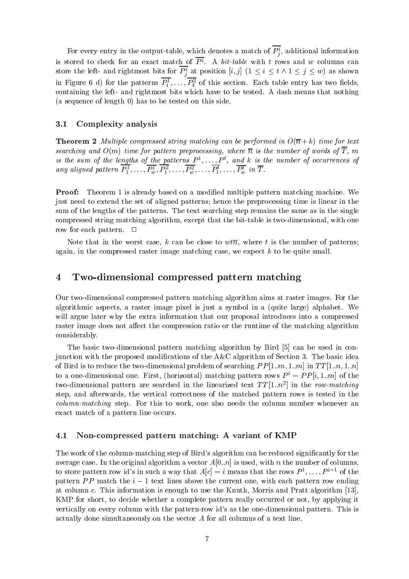For every entry in the output-table, which denotes a match of  $P_i$ , additional information <sup>j</sup> is stored to check for an exact match of  $P$  i. A  $\emph{out-taure}$  with  $\emph{t}$  rows and w columns can store the left- and rightmost bits for  $F_j$  at position  $[i, j]$  ( $1 \leq i \leq t \wedge 1 \leq j \leq w$ ) as shown in Figure 6 d) for the patterns  $F_1^*,\ldots,F_4^*$  of this section. Each table entry has two helds, containing the left- and rightmost bits which have to be tested. A dash means that nothing (a sequence of length 0) has to be tested on this side.

### 3.1 Complexity analysis

**Theorem 2** Multiple compressed string matching can be performed in  $O(\overline{n} + k)$  time for text searching and O(m) time for pattern preprocessing, where it the number of words of T , me , me is the sum of the lengths of the patterns  $P^+,\ldots,P^+$ , and  $\kappa$  is the number of occurrences of any augnea pattern  $P_1^*,\ldots,P_w^*,P_1^*,\ldots,P_{\tilde{w}},\ldots,P_1^*,\ldots,P_w^*$  in  $1$  .

**Proof:** Theorem 1 is already based on a modified multiple pattern matching machine. We just need to extend the set of aligned patterns; hence the preprocessing time is linear in the sum of the lengths of the patterns. The text searching step remains the same as in the single compressed string matching algorithm, except that the bit-table is two-dimensional, with one row for each pattern.  $\Box$ 

Note that in the worst case, k can be close to  $wt\overline{n}$ , where t is the number of patterns; again, in the compressed raster image matching case, we expect  $k$  to be quite small.

## 4 Two-dimensional compressed pattern matching

Our two-dimensional compressed pattern matching algorithm aims at raster images. For the algorithmic aspects, a raster image pixel is just a symbol in a (quite large) alphabet. We will argue later why the extra information that our proposal introduces into a compressed raster image does not affect the compression ratio or the runtime of the matching algorithm considerably.

The basic two-dimensional pattern matching algorithm by Bird [5] can be used in conjunction with the proposed modifications of the  $A\&C$  algorithm of Section 3. The basic idea of Bird is to reduce the two-dimensional problem of searching  $PP[1..m,1..m]$  in  $TT[1..n,1..n]$ to a one-dimensional one. First, (horizontal) matching pattern rows  $P^i = PP[i, 1..m]$  of the  $two$ -dimensional pattern are searched in the iniearized text TT  $[1..n^2]$  in the row-matching step, and afterwards, the vertical correctness of the matched pattern rows is tested in the column-matching step. For this to work, one also needs the column number whenever an exact match of a pattern line occurs.

#### 4.1 Non-compressed pattern matching: A variant of KMP

The work of the column-matching step of Bird's algorithm can be reduced significantly for the average case. In the original algorithm a vector  $A[0..n]$  is used, with n the number of columns, to store pattern row id's in such a way that  $A|c| = i$  means that the rows  $P^1, \ldots, P^{i-1}$  of the pattern P P match the i <sup>1</sup> text lines above the current one, with each pattern row ending at column c. This information is enough to use the Knuth, Morris and Pratt algorithm [13], KMP for short, to decide whether a complete pattern really occurred or not, by applying it vertically on every column with the pattern-row id's as the one-dimensional pattern. This is actually done simultaneously on the vector A for all columns of a text line.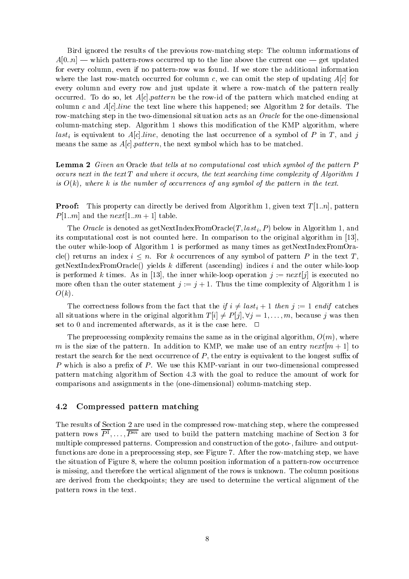Bird ignored the results of the previous row-matching step: The column informations of  $A[0..n]$  — which pattern-rows occurred up to the line above the current one — get updated for every column, even if no pattern-row was found. If we store the additional information where the last row-match occurred for column c, we can omit the step of updating  $A[c]$  for every column and every row and just update it where a row-match of the pattern really occurred. To do so, let  $A[c]$ : *pattern* be the row-id of the pattern which matched ending at column c and  $A[c].line$  the text line where this happened; see Algorithm 2 for details. The row-matching step in the two-dimensional situation acts as an *Oracle* for the one-dimensional column-matching step. Algorithm 1 shows this modication of the KMP algorithm, where last<sub>i</sub> is equivalent to  $A[c].line$ , denoting the last occurrence of a symbol of P in T, and j means the same as  $A[c]$ . *pattern*, the next symbol which has to be matched.

**Lemma 2** Given an Oracle that tells at no computational cost which symbol of the pattern P occurs next in the text  $T$  and where it occurs, the text searching time complexity of Algorithm 1 is  $O(k)$ , where k is the number of occurrences of any symbol of the pattern in the text.

**Proof:** This property can directly be derived from Algorithm 1, given text  $T[1..n]$ , pattern  $P[1..m]$  and the  $next[1..m + 1]$  table.

The Oracle is denoted as getNextIndexFromOracle(T,  $last_i$ , P) below in Algorithm 1, and its computational cost is not counted here. In comparison to the original algorithm in [13], the outer while-loop of Algorithm 1 is performed asmany times as getNextIndexFromOraclear contract index index index index index index index index index index in the text T  $\sim$  10 in the text T  $\sim$  $getNextIndexFromOracle() yields k different (ascending) indices i and the outer while-loop$ is performed k times. As in [13], the inner while-loop operation  $j := next[j]$  is executed no more often than the outer statement  $j := j + 1$ . Thus the time complexity of Algorithm 1 is  $O(k).$ 

The correctness follows from the fact that the if  $i \neq last_i + 1$  then  $j := 1$  endif catches all situations where in the original algorithm  $T[i] \neq P[j], \forall j = 1, \ldots, m$ , because j was then set to 0 and incremented afterwards, as it is the case here.  $\Box$ 

The preprocessing complexity remains the same as in the original algorithm,  $O(m)$ , where m is the size of the pattern. In addition to KMP, we make use of an entry  $next[m + 1]$  to restart the search for the next occurrence of  $P$ , the entry is equivalent to the longest suffix of  $P$  which is also a prefix of  $P$ . We use this KMP-variant in our two-dimensional compressed pattern matching algorithm of Section 4.3 with the goal to reduce the amount of work for comparisons and assignments in the (one-dimensional) column-matching step.

### 4.2 Compressed pattern matching

The results of Section 2 are used in the compressed row-matching step, where the compressed  $\rm{particle}$  if tows T  $^{\circ},\ldots$  T are used to build the pattern matching machine of Section 3 for multiple compressed patterns. Compression and construction of the goto-, failure- and outputfunctions are done in a preprocessing step, see Figure 7. After the row-matching step, we have the situation of Figure 8, where the column position information of a pattern-row occurrence is missing, and therefore the vertical alignment of the rows is unknown. The column positions are derived from the checkpoints; they are used to determine the vertical alignment of the pattern rows in the text.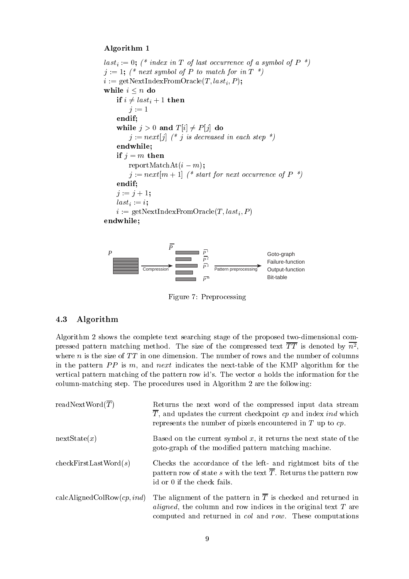## Algorithm 1

 $last_i := 0;$  (\* index in T of last occurrence of a symbol of  $P^{*}$ )  $j := 1$ ; (\* next symbol of P to match for in T \*)  $i := getNextIndexFromOracle(T, last_i, P);$ while it is a non-dependent of  $\mathbb{R}^n$ if  $i \neq last_i + 1$  then  $j := 1$ endif; while  $j > 0$  and  $T[i] \neq P[j]$  do  $j := next[j]$  (\* j is decreased in each step \*) endwhile; if  $j = m$  then represents the contract of  $\mathcal{M}$  $j := next[m + 1]$  (\* start for next occurrence of P \*) endif;  $j := j + 1;$  $last_i := i;$  $i := getNextIndexFromOracle(T, last_i, P)$ endwhile;



Figure 7: Preprocessing

## 4.3 Algorithm

Algorithm 2 shows the complete text searching stage of the proposed two-dimensional compressed pattern matching method. The size of the compressed text  $TT$  is denoted by  $n^2$ , where  $n$  is the size of  $TT$  in one dimension. The number of rows and the number of columns in the pattern  $PP$  is m, and next indicates the next-table of the KMP algorithm for the vertical pattern matching of the pattern row id's. The vector a holds the information for the column-matching step. The procedures used in Algorithm 2 are the following:

| readNextWord $(\overline{T})$ | Returns the next word of the compressed input data stream<br>$\overline{T}$ , and updates the current checkpoint cp and index <i>ind</i> which<br>represents the number of pixels encountered in $T$ up to $cp$ . |
|-------------------------------|-------------------------------------------------------------------------------------------------------------------------------------------------------------------------------------------------------------------|
| nextState(x)                  | Based on the current symbol x, it returns the next state of the<br>goto-graph of the modified pattern matching machine.                                                                                           |
| checkFirstLastWord(s)         | Checks the accordance of the left- and rightmost bits of the<br>pattern row of state s with the text $\overline{T}$ . Returns the pattern row<br>id or 0 if the check fails.                                      |
| calcAlignedColRow $(cp, ind)$ | The alignment of the pattern in $\overline{T}$ is checked and returned in<br><i>aligned</i> , the column and row indices in the original text $T$ are<br>computed and returned in col and row. These computations |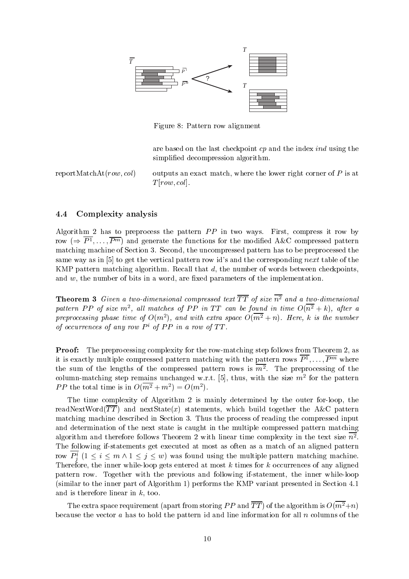

Figure 8: Pattern row alignment

are based on the last checkpoint cp and the index ind using the simplified decompression algorithm.

reportMatchAt(row, col) outputs an exact match, where the lower right corner of P is at  $T$ [row, col].

## 4.4 Complexity analysis

Algorithm 2 has to preprocess the pattern  $PP$  in two ways. First, compress it row by row  $(\rightarrow I^{\circ}, \ldots, I^{\circ})$  and generate the functions for the modified A&C compressed pattern matching machine of Section 3. Second, the uncompressed pattern has to be preprocessed the same way as in [5] to get the vertical pattern row id's and the corresponding next table of the KMP pattern matching algorithm. Recall that d, the number of words between checkpoints, and  $w$ , the number of bits in a word, are fixed parameters of the implementation.

**Theorem 3** Given a two-dimensional compressed text  $\overline{TT}$  of size  $\overline{n^2}$  and a two-dimensional pattern  $PP$  of size  $m$  , all matches of  $PP$  in II can be found in time  $O(n^2 + \kappa)$ , after a  $\emph{preprocessing phase time}$  of O(M2), and with extra space O(M2  $+$  n). Here, k is the number of occurrences of any row  $P^i$  of PP in a row of TT.

**Proof:** The preprocessing complexity for the row-matching step follows from Theorem 2, as it is exactly multiple compressed pattern matching with the pattern rows  $F^*,\ldots,F^{\prime\prime\prime}$  where the sum of the lengths of the compressed pattern rows is  $m$ . The preprocessing of the column-matching step remains unchanged w.r.t.  $\vert \mathfrak{d} \vert$ , thus, with the size  $m^{\ast}$  for the pattern  $\Gamma\Gamma$  the total time is in  $O(m^2 + m^2) = O(m^2)$ .

The time complexity of Algorithm 2 is mainly determined by the outer for-loop, the readNextWord $(\overline{TT})$  and nextState(x) statements, which build together the A&C pattern matching machine described in Section 3. Thus the process of reading the compressed input and determination of the next state is caught in the multiple compressed pattern matching argorithm and therefore follows Theorem 2 with finear time complexity in the text size  $n^2$ . The following if-statements get executed at most as often as a match of an aligned pattern row  $F_j$  ( $1 \leq i \leq m \wedge 1 \leq j \leq w$ ) was found using the multiple pattern matching machine. Therefore, the inner while-loop gets entered at most  $k$  times for  $k$  occurrences of any aligned pattern row. Together with the previous and following if-statement, the inner while-loop (similar to the inner part of Algorithm 1) performs the KMP variant presented in Section 4.1 and is therefore linear in k, too.

The extra space requirement (apart from storing PP and  $\overline{TT}$ ) of the algorithm is  $O(\overline{m^2}+n)$ because the vector  $a$  has to hold the pattern id and line information for all  $n$  columns of the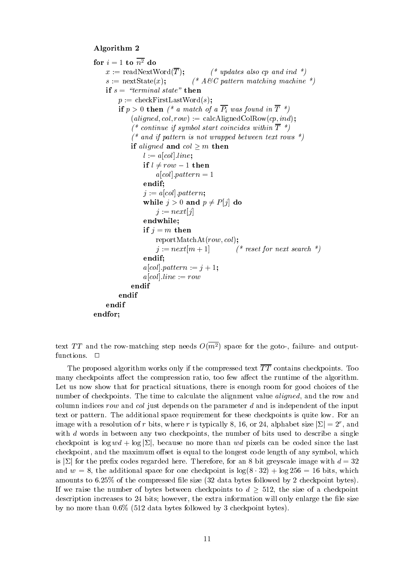## Algorithm 2

for  $i = 1$  to  $\overline{n^2}$  do  $x := \text{readNextWord}(\overline{T});$  (\* updates also cp and ind \*)  $s := \text{nextState}(x);$  (\* A&C pattern matching machine \*) if  $s =$  "terminal state" then  $p := \text{checkFirstLastWord}(s);$ if  $p > 0$  then  $\ell^*$  a match of a  $\overline{P_i}$  was found in  $\overline{T}^*$  $(aligned, col, row) := \text{calcAlignedColRow}(cp, ind);$ (\* continue if symbol start coincides within  $\overline{T}$  \*)  $(*$  and if pattern is not wrapped between text rows  $*)$ if all  $j$  and come and  $\mu$  all the then the collapse  $\mu$  $l := a[col].line;$ if  $l \neq row - 1$  then  $a[col].pattern = 1$ endif;  $j := a[col].pattern;$ while  $j > 0$  and  $p \neq P[j]$  do  $j := next[j]$ endwhile; if  $j = m$  then representation and the collection of the collection of the collection of the collection of the collection of the collection of the collection of the collection of the collection of the collection of the collection of the c j := next search  $\mathbf{m}$  (\*) (\* reset for next search  $\mathbf{m}$  is next search  $\mathbf{m}$ endif;  $a[col].pattern := j + 1;$  $a[col].line := row$ endif endif endif endfor;

 $t_{\rm ext}$   $T$  and the row-matching step needs  $O(m^2)$  space for the goto-, failure- and outputfunctions.  $\Box$ 

The proposed algorithm works only if the compressed text  $\overline{TT}$  contains checkpoints. Too many checkpoints affect the compression ratio, too few affect the runtime of the algorithm. Let us now show that for practical situations, there is enough room for good choices of the number of checkpoints. The time to calculate the alignment value *aligned*, and the row and column indices row and col just depends on the parameter d and is independent of the input text or pattern. The additional space requirement for these checkpoints is quite low. For an image with a resolution of r bits, where r is typically 8, 10, or 24, alphabet size  $|z| = z$  , and with d words in between any two checkpoints, the number of bits used to describe a single checkpoint is  $\log wd + \log |\Sigma|$ , because no more than wd pixels can be coded since the last checkpoint, and the maximum offset is equal to the longest code length of any symbol, which is  $|\Sigma|$  for the prefix codes regarded here. Therefore, for an 8 bit greyscale image with  $d = 32$ and w  $\sim$  8, the additional space for one checkpoint is log(8  $\sim$  22) + log=356  $\sim$  16 bits, which is amounts to  $6.25\%$  of the compressed file size (32 data bytes followed by 2 checkpoint bytes). If we raise the number of by the between checkpoints to d  $\pm$  912, the size of a checkpoint check description increases to 24 bits; however, the extra information will only enlarge the file size by no more than 0.6% (512 data bytes followed by 3 checkpoint bytes).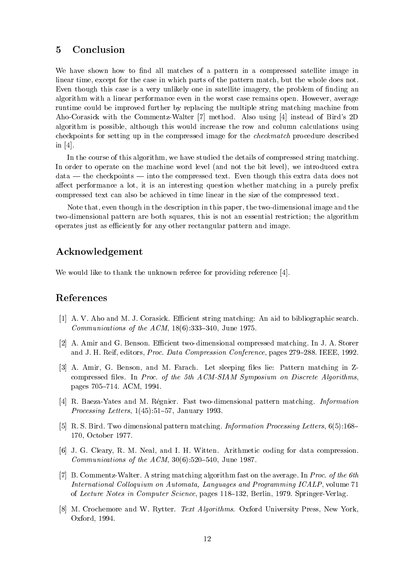#### $\overline{5}$ **Conclusion**

We have shown how to find all matches of a pattern in a compressed satellite image in linear time, except for the case in which parts of the pattern match, but the whole does not. Even though this case is a very unlikely one in satellite imagery, the problem of finding an algorithm with a linear performance even in the worst case remains open. However, average runtime could be improved further by replacing the multiple string matching machine from Aho-Corasick with the Commentz-Walter [7] method. Also using [4] instead of Bird's 2D algorithm is possible, although this would increase the row and column calculations using checkpoints for setting up in the compressed image for the checkmatch procedure described in [4].

In the course of this algorithm, we have studied the details of compressed string matching. In order to operate on the machine word level (and not the bit level), we introduced extra data — the checkpoints — into the compressed text. Even though this extra data does not affect performance a lot, it is an interesting question whether matching in a purely prefix compressed text can also be achieved in time linear in the size of the compressed text.

Note that, even though in the description in this paper, the two-dimensional image and the two-dimensional pattern are both squares, this is not an essential restriction; the algorithm operates just as efficiently for any other rectangular pattern and image.

## Acknowledgement

We would like to thank the unknown referee for providing reference [4].

## References

- [1] A. V. Aho and M. J. Corasick. Efficient string matching: An aid to bibliographic search. Communications of the  $ACM$ ,  $18(6):333-340$ , June 1975.
- [2] A. Amir and G. Benson. Efficient two-dimensional compressed matching. In J. A. Storer and J. H. Reif, editors, *Proc. Data Compression Conference*, pages 279–288. IEEE, 1992.
- [3] A. Amir, G. Benson, and M. Farach. Let sleeping files lie: Pattern matching in Zcompressed files. In Proc. of the 5th ACM-SIAM Symposium on Discrete Algorithms, pages 705-714. ACM, 1994.
- [4] R. Baeza-Yates and M. Regnier. Fast two-dimensional pattern matching. Information *Processing Letters*,  $1(45):51-57$ , January 1993.
- [5] R. S. Bird. Two dimensional pattern matching. *Information Processing Letters*,  $6(5):168-$ 170, October 1977.
- [6] J. G. Cleary, R. M. Neal, and I. H. Witten. Arithmetic coding for data compression. Communications of the  $ACM$ ,  $30(6):520{-}540$ , June 1987.
- [7] B. Commentz-Walter. A string matching algorithm fast on the average. In Proc. of the 6th International Colloquium on Automata, Languages and Programming ICALP, volume 71 of Lecture Notes in Computer Science, pages 118-132, Berlin, 1979. Springer-Verlag.
- [8] M. Crochemore and W. Rytter. Text Algorithms. Oxford University Press, New York, Oxford, 1994.